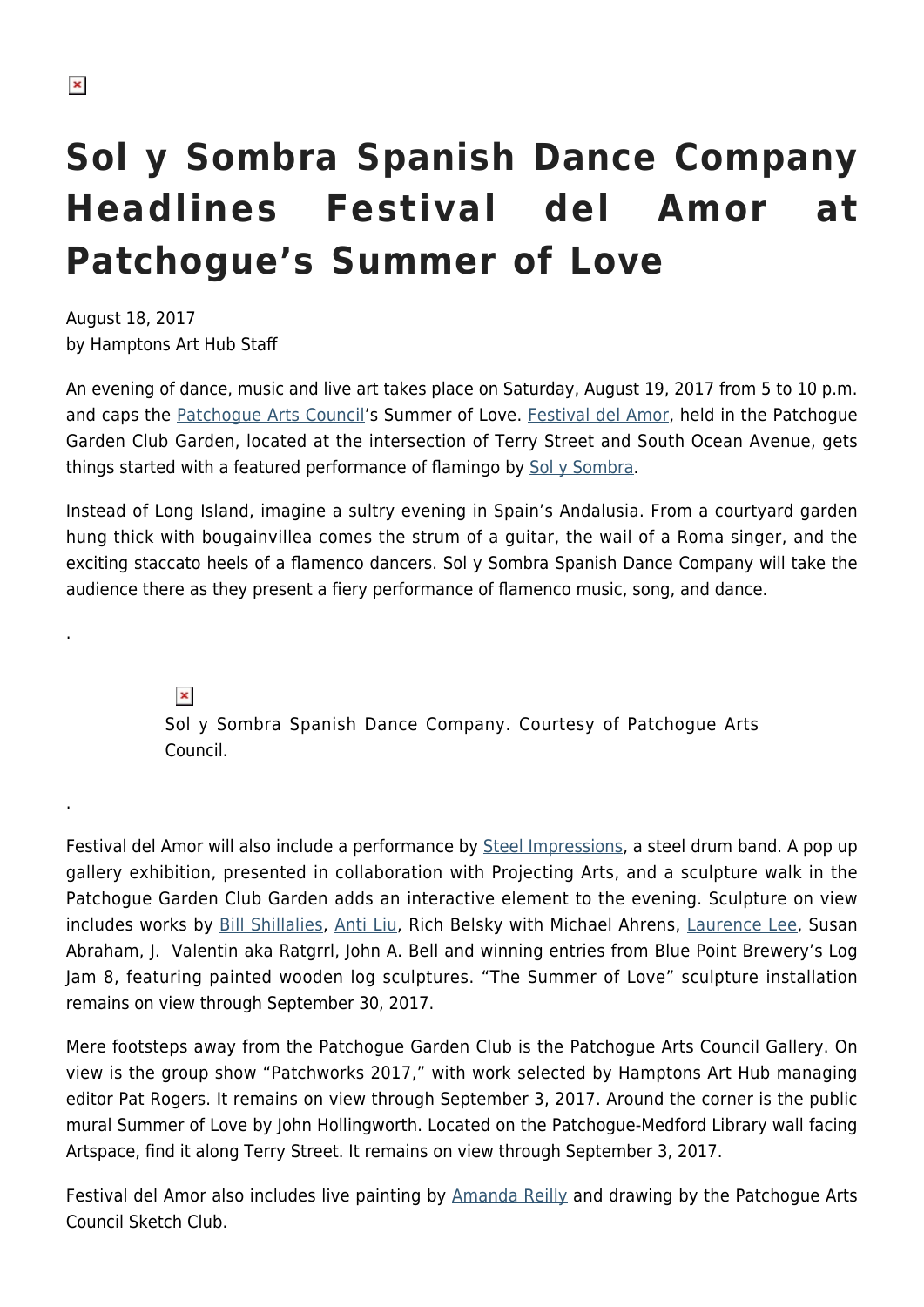.

.

## **Sol y Sombra Spanish Dance Company Headlines Festival del Amor at Patchogue's Summer of Love**

August 18, 2017 by Hamptons Art Hub Staff

An evening of dance, music and live art takes place on Saturday, August 19, 2017 from 5 to 10 p.m. and caps the [Patchogue Arts Council](https://patchoguearts.org/)'s Summer of Love. [Festival del Amor](https://patchoguearts.org/festival-del-amor/), held in the Patchogue Garden Club Garden, located at the intersection of Terry Street and South Ocean Avenue, gets things started with a featured performance of flamingo by [Sol y Sombra](https://www.facebook.com/Sol-y-Sombra-Spanish-Dance-Co-236118833072651/?sw_fnr_id=1533120508&fnr_t=0).

Instead of Long Island, imagine a sultry evening in Spain's Andalusia. From a courtyard garden hung thick with bougainvillea comes the strum of a guitar, the wail of a Roma singer, and the exciting staccato heels of a flamenco dancers. Sol y Sombra Spanish Dance Company will take the audience there as they present a fiery performance of flamenco music, song, and dance.

> $\pmb{\times}$ Sol y Sombra Spanish Dance Company. Courtesy of Patchogue Arts Council.

Festival del Amor will also include a performance by [Steel Impressions](https://www.steelimpressionsmusic.com/), a steel drum band. A pop up gallery exhibition, presented in collaboration with Projecting Arts, and a sculpture walk in the Patchogue Garden Club Garden adds an interactive element to the evening. Sculpture on view includes works by [Bill Shillalies](http://billshillalies.com/), [Anti Liu](http://www.antiliu.com/), Rich Belsky with Michael Ahrens, [Laurence Lee,](https://www.lawrenceleeart.com/) Susan Abraham, J. Valentin aka Ratgrrl, John A. Bell and winning entries from Blue Point Brewery's Log Jam 8, featuring painted wooden log sculptures. "The Summer of Love" sculpture installation remains on view through September 30, 2017.

Mere footsteps away from the Patchogue Garden Club is the Patchogue Arts Council Gallery. On view is the group show "Patchworks 2017," with work selected by Hamptons Art Hub managing editor Pat Rogers. It remains on view through September 3, 2017. Around the corner is the public mural Summer of Love by John Hollingworth. Located on the Patchogue-Medford Library wall facing Artspace, find it along Terry Street. It remains on view through September 3, 2017.

Festival del Amor also includes live painting by [Amanda Reilly](http://www.amandareilly.com/) and drawing by the Patchogue Arts Council Sketch Club.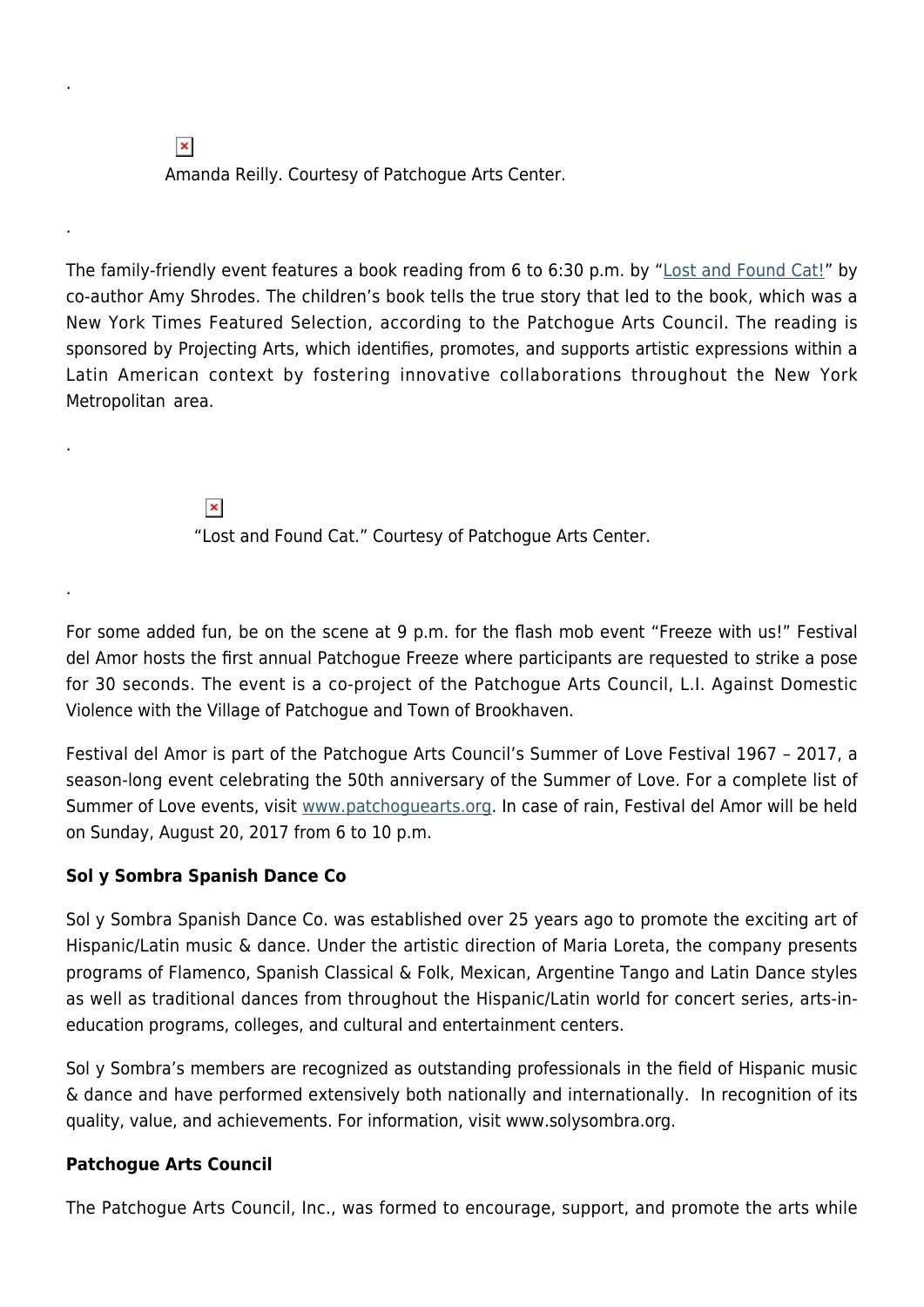$\pmb{\times}$ Amanda Reilly. Courtesy of Patchogue Arts Center.

The family-friendly event features a book reading from 6 to 6:30 p.m. by ["Lost and Found Cat!"](http://www.penguinrandomhouse.com/books/549344/lost-and-found-cat-by-doug-kuntz-and-amy-shrodes-illustrated-by-sue-cornelison/9781524715472/) by co-author Amy Shrodes. The children's book tells the true story that led to the book, which was a New York Times Featured Selection, according to the Patchogue Arts Council. The reading is sponsored by Projecting Arts, which identifies, promotes, and supports artistic expressions within a Latin American context by fostering innovative collaborations throughout the New York Metropolitan area.

> $\pmb{\times}$ "Lost and Found Cat." Courtesy of Patchogue Arts Center.

For some added fun, be on the scene at 9 p.m. for the flash mob event "Freeze with us!" Festival del Amor hosts the first annual Patchogue Freeze where participants are requested to strike a pose for 30 seconds. The event is a co-project of the Patchogue Arts Council, L.I. Against Domestic Violence with the Village of Patchogue and Town of Brookhaven.

Festival del Amor is part of the Patchogue Arts Council's Summer of Love Festival 1967 – 2017, a season-long event celebrating the 50th anniversary of the Summer of Love. For a complete list of Summer of Love events, visit [www.patchoguearts.org.](http://www.patchoguearts.org) In case of rain, Festival del Amor will be held on Sunday, August 20, 2017 from 6 to 10 p.m.

## **Sol y Sombra Spanish Dance Co**

.

.

.

.

Sol y Sombra Spanish Dance Co. was established over 25 years ago to promote the exciting art of Hispanic/Latin music & dance. Under the artistic direction of Maria Loreta, the company presents programs of Flamenco, Spanish Classical & Folk, Mexican, Argentine Tango and Latin Dance styles as well as traditional dances from throughout the Hispanic/Latin world for concert series, arts-ineducation programs, colleges, and cultural and entertainment centers.

Sol y Sombra's members are recognized as outstanding professionals in the field of Hispanic music & dance and have performed extensively both nationally and internationally. In recognition of its quality, value, and achievements. For information, visit www.solysombra.org.

## **Patchogue Arts Council**

The Patchogue Arts Council, Inc., was formed to encourage, support, and promote the arts while